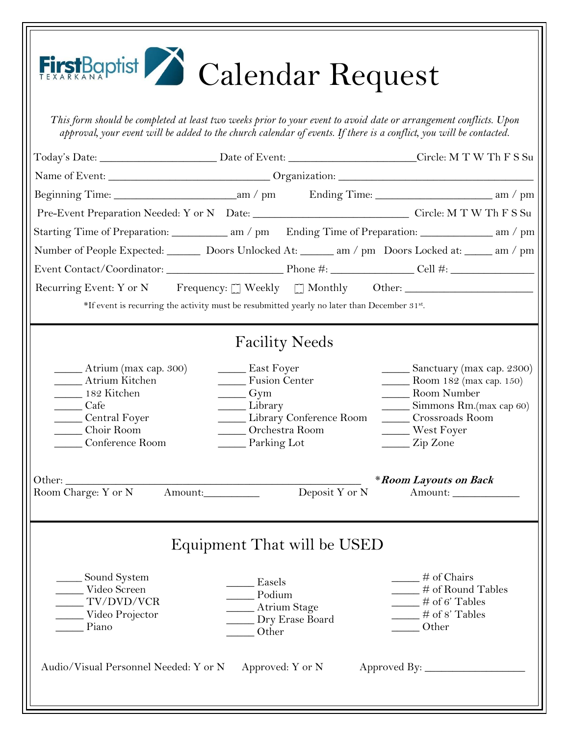| FirstBaptist Calendar Request                                                                                                                                                                                                            |                                                                                                                                                                               |                                                                                                                                                                                                       |  |
|------------------------------------------------------------------------------------------------------------------------------------------------------------------------------------------------------------------------------------------|-------------------------------------------------------------------------------------------------------------------------------------------------------------------------------|-------------------------------------------------------------------------------------------------------------------------------------------------------------------------------------------------------|--|
| This form should be completed at least two weeks prior to your event to avoid date or arrangement conflicts. Upon<br>approval, your event will be added to the church calendar of events. If there is a conflict, you will be contacted. |                                                                                                                                                                               |                                                                                                                                                                                                       |  |
|                                                                                                                                                                                                                                          |                                                                                                                                                                               |                                                                                                                                                                                                       |  |
|                                                                                                                                                                                                                                          |                                                                                                                                                                               |                                                                                                                                                                                                       |  |
|                                                                                                                                                                                                                                          |                                                                                                                                                                               |                                                                                                                                                                                                       |  |
| Pre-Event Preparation Needed: Y or N Date: Circle: M T W Th F S Su                                                                                                                                                                       |                                                                                                                                                                               |                                                                                                                                                                                                       |  |
| Starting Time of Preparation: ____________ am / pm Ending Time of Preparation: ___________ am / pm                                                                                                                                       |                                                                                                                                                                               |                                                                                                                                                                                                       |  |
| Number of People Expected: ________ Doors Unlocked At: _______ am / pm Doors Locked at: ______ am / pm                                                                                                                                   |                                                                                                                                                                               |                                                                                                                                                                                                       |  |
|                                                                                                                                                                                                                                          |                                                                                                                                                                               |                                                                                                                                                                                                       |  |
| Recurring Event: Y or N Frequency: [] Weekly [] Monthly Other: _________________                                                                                                                                                         |                                                                                                                                                                               |                                                                                                                                                                                                       |  |
| *If event is recurring the activity must be resubmitted yearly no later than December 31st.                                                                                                                                              |                                                                                                                                                                               |                                                                                                                                                                                                       |  |
| _______ Atrium (max cap. 300)<br>____ Atrium Kitchen<br>182 Kitchen<br>Cafe<br>Central Foyer<br>Choir Room<br>Conference Room                                                                                                            | <b>Facility Needs</b><br><b>East Foyer</b><br>_____ Fusion Center<br>$\frac{Gym}{2}$<br>Library<br>Library Conference Room<br>Orchestra Room<br>Parking Lot<br>Deposit Y or N | Sanctuary (max cap. 2300)<br>Room 182 (max cap. 150)<br><b>Marson</b> Number<br>Simmons Rm.(max cap 60)<br>Crossroads Room<br>West Foyer<br>_____ Zip Zone<br><i>*Room Layouts on Back</i><br>Amount: |  |
| ____ Sound System<br>Video Screen<br>TV/DVD/VCR<br>Video Projector<br>Piano                                                                                                                                                              | Equipment That will be USED<br>Easels<br>$\_\_$ Podium<br>____ Atrium Stage<br>Dry Erase Board<br>Other                                                                       | $\frac{1}{2}$ # of Chairs<br>$\#$ of Round Tables<br>$\frac{1}{2}$ # of 6' Tables<br>$\#$ of 8' Tables<br>Other                                                                                       |  |
| Audio/Visual Personnel Needed: Y or N Approved: Y or N                                                                                                                                                                                   |                                                                                                                                                                               |                                                                                                                                                                                                       |  |